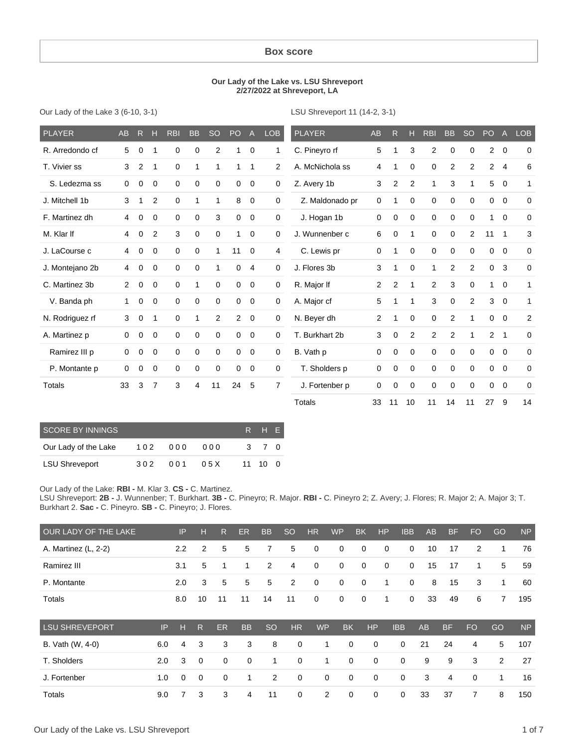#### **Box score**

#### **Our Lady of the Lake vs. LSU Shreveport 2/27/2022 at Shreveport, LA**

Our Lady of the Lake 3 (6-10, 3-1)

LSU Shreveport 11 (14-2, 3-1)

| <b>PLAYER</b>   | AB             | R.       | н              | <b>RBI</b>  | <b>BB</b>    | <b>SO</b>   | PO             | $\overline{A}$ | <b>LOB</b>     | <b>PLAYER</b>   | <b>AB</b>      | R              | н           | <b>RBI</b>     | <b>BB</b>      | <b>SO</b>      | PO             | $\overline{A}$           | <b>LOB</b>  |
|-----------------|----------------|----------|----------------|-------------|--------------|-------------|----------------|----------------|----------------|-----------------|----------------|----------------|-------------|----------------|----------------|----------------|----------------|--------------------------|-------------|
| R. Arredondo cf | 5              | $\Omega$ |                | 0           | $\Omega$     | 2           |                | 0              | 1              | C. Pineyro rf   | 5              |                | 3           | $\overline{c}$ | 0              | 0              | $\overline{2}$ | $\overline{0}$           | $\Omega$    |
| T. Vivier ss    | 3              | 2        | 1              | 0           | 1            |             |                | 1              | $\overline{2}$ | A. McNichola ss | 4              | 1              | 0           | 0              | 2              | $\overline{c}$ | $\overline{2}$ | $\overline{4}$           | 6           |
| S. Ledezma ss   | 0              | 0        | $\mathbf 0$    | $\mathbf 0$ | $\mathbf 0$  | 0           | 0              | $\mathbf 0$    | 0              | Z. Avery 1b     | 3              | $\overline{2}$ | 2           | 1              | 3              |                | 5              | $\overline{0}$           | 1           |
| J. Mitchell 1b  | 3              | 1        | 2              | $\mathbf 0$ | $\mathbf{1}$ | 1           | 8              | 0              | 0              | Z. Maldonado pr | $\mathbf 0$    | 1              | 0           | $\mathbf 0$    | $\mathbf 0$    | 0              | $\overline{0}$ | $\overline{0}$           | $\mathbf 0$ |
| F. Martinez dh  | 4              | 0        | 0              | $\mathbf 0$ | 0            | 3           | 0              | 0              | 0              | J. Hogan 1b     | 0              | 0              | 0           | 0              | 0              | $\Omega$       |                | $\mathbf 0$              | $\mathbf 0$ |
| M. Klar If      | 4              | 0        | $\overline{2}$ | 3           | $\mathbf 0$  | $\Omega$    |                | $\Omega$       | 0              | J. Wunnenber c  | 6              | $\mathbf 0$    | 1           | $\mathbf 0$    | 0              | 2              | 11             | $\mathbf 1$              | 3           |
| J. LaCourse c   | 4              | 0        | 0              | $\mathbf 0$ | $\mathbf 0$  | 1           | 11             | $\mathbf 0$    | 4              | C. Lewis pr     | 0              | 1              | $\mathbf 0$ | 0              | 0              | 0              | 0              | $\overline{0}$           | $\mathbf 0$ |
| J. Montejano 2b | 4              | 0        | $\mathbf 0$    | $\mathbf 0$ | $\mathbf 0$  |             | 0              | 4              | $\mathbf 0$    | J. Flores 3b    | 3              | 1              | $\mathbf 0$ | 1              | $\overline{2}$ | 2              | 0              | 3                        | $\mathbf 0$ |
| C. Martinez 3b  | $\overline{2}$ | 0        | $\mathbf 0$    | $\mathbf 0$ | 1            | 0           | 0              | 0              | 0              | R. Major If     | $\overline{2}$ | $\overline{2}$ | 1           | 2              | 3              | $\mathbf 0$    | 1              | $\mathbf 0$              | 1           |
| V. Banda ph     | 1              | 0        | 0              | $\mathbf 0$ | $\mathbf 0$  | $\Omega$    | 0              | 0              | 0              | A. Major cf     | 5              | 1              | 1           | 3              | $\mathbf 0$    | 2              | 3              | $\mathbf 0$              | 1           |
| N. Rodriguez rf | 3              | 0        | 1              | $\mathbf 0$ | 1            | 2           | $\overline{2}$ | 0              | 0              | N. Beyer dh     | $\overline{2}$ | 1              | 0           | 0              | $\overline{2}$ |                | 0              | $\mathbf 0$              | 2           |
| A. Martinez p   | 0              | 0        | $\mathbf 0$    | $\mathbf 0$ | 0            | 0           | 0              | 0              | 0              | T. Burkhart 2b  | 3              | 0              | 2           | 2              | 2              |                | $\overline{2}$ | $\overline{\phantom{1}}$ | $\mathbf 0$ |
| Ramirez III p   | 0              | 0        | $\mathbf 0$    | $\mathbf 0$ | $\mathbf 0$  | $\mathbf 0$ | $\mathbf 0$    | $\mathbf 0$    | 0              | B. Vath p       | 0              | $\mathbf 0$    | $\Omega$    | $\mathbf 0$    | $\mathbf 0$    | $\Omega$       | $\Omega$       | $\overline{0}$           | $\Omega$    |
| P. Montante p   | 0              | $\Omega$ | 0              | $\mathbf 0$ | 0            | $\Omega$    | $\Omega$       | 0              | 0              | T. Sholders p   | 0              | $\mathbf 0$    | $\mathbf 0$ | $\Omega$       | $\mathbf 0$    | $\Omega$       | $\mathbf 0$    | $\Omega$                 | $\Omega$    |
| Totals          | 33             | 3        | 7              | 3           | 4            | 11          | 24             | 5              | $\overline{7}$ | J. Fortenber p  | $\Omega$       | $\mathbf 0$    | $\mathbf 0$ | $\mathbf 0$    | 0              | $\Omega$       | 0              | $\overline{0}$           | $\mathbf 0$ |
|                 |                |          |                |             |              |             |                |                |                | <b>Totals</b>   | 33             | 11             | 10          | 11             | 14             | 11             | 27             | 9                        | 14          |

| SCORE BY INNINGS      |     | RHE' |      |     |         |  |
|-----------------------|-----|------|------|-----|---------|--|
| Our Lady of the Lake  | 102 | 000  | 000  | -3- | 70      |  |
| <b>LSU Shreveport</b> | 302 | 001  | 05 X |     | 11 10 0 |  |

#### Our Lady of the Lake: **RBI -** M. Klar 3. **CS -** C. Martinez.

LSU Shreveport: **2B -** J. Wunnenber; T. Burkhart. **3B -** C. Pineyro; R. Major. **RBI -** C. Pineyro 2; Z. Avery; J. Flores; R. Major 2; A. Major 3; T. Burkhart 2. **Sac -** C. Pineyro. **SB -** C. Pineyro; J. Flores.

| OUR LADY OF THE LAKE  |     | IP          | н           | R  | ER          | <b>BB</b>      | <sub>SO</sub> | <b>HR</b>   | <b>WP</b>   | <b>BK</b> | <b>HP</b>   | <b>IBB</b>  | AB        | <b>BF</b>      | FO <sub>1</sub> | GO             | <b>NP</b> |
|-----------------------|-----|-------------|-------------|----|-------------|----------------|---------------|-------------|-------------|-----------|-------------|-------------|-----------|----------------|-----------------|----------------|-----------|
| A. Martinez (L, 2-2)  |     | 2.2         | 2           | 5  | 5           | 7              | 5             | 0           | 0           | 0         | 0           | $\mathbf 0$ | 10        | 17             | 2               | 1              | 76        |
| Ramirez III           |     | 3.1         | 5           | 1  | 1           | 2              | 4             | 0           | 0           | 0         | 0           | $\mathbf 0$ | 15        | 17             | 1               | 5              | 59        |
| P. Montante           |     | 2.0         | 3           | 5  | 5           | 5              | 2             | $\mathbf 0$ | 0           | 0         | 1           | $\mathbf 0$ | 8         | 15             | 3               | 1              | 60        |
| Totals                |     | 8.0         | 10          | 11 | 11          | 14             | 11            | $\mathbf 0$ | 0           | 0         | 1           | $\mathbf 0$ | 33        | 49             | 6               | $\overline{7}$ | 195       |
| <b>LSU SHREVEPORT</b> | IP  | н           | R           | ER | <b>BB</b>   | <b>SO</b>      | <b>HR</b>     | <b>WP</b>   | <b>BK</b>   |           | <b>HP</b>   | <b>IBB</b>  | <b>AB</b> | <b>BF</b>      | <b>FO</b>       | GO             | <b>NP</b> |
| B. Vath (W, 4-0)      | 6.0 | 4           | 3           | 3  | 3           | 8              | $\mathbf 0$   |             |             | 0         | $\Omega$    | $\Omega$    | 21        | 24             | 4               | 5              | 107       |
| T. Sholders           | 2.0 | 3           | $\mathbf 0$ | 0  | $\mathbf 0$ | 1              | $\mathbf 0$   |             | 1           | 0         | $\mathbf 0$ | $\mathbf 0$ | 9         | 9              | 3               | 2              | 27        |
| J. Fortenber          | 1.0 | $\mathbf 0$ | $\mathbf 0$ | 0  | 1           | $\overline{c}$ | $\mathbf 0$   |             | $\mathbf 0$ | 0         | $\mathbf 0$ | $\mathbf 0$ | 3         | $\overline{4}$ | $\Omega$        | $\mathbf{1}$   | 16        |
| Totals                | 9.0 | 7           | 3           | 3  | 4           | 11             | 0             |             | 2           | 0         | 0           | 0           | 33        | 37             | 7               | 8              | 150       |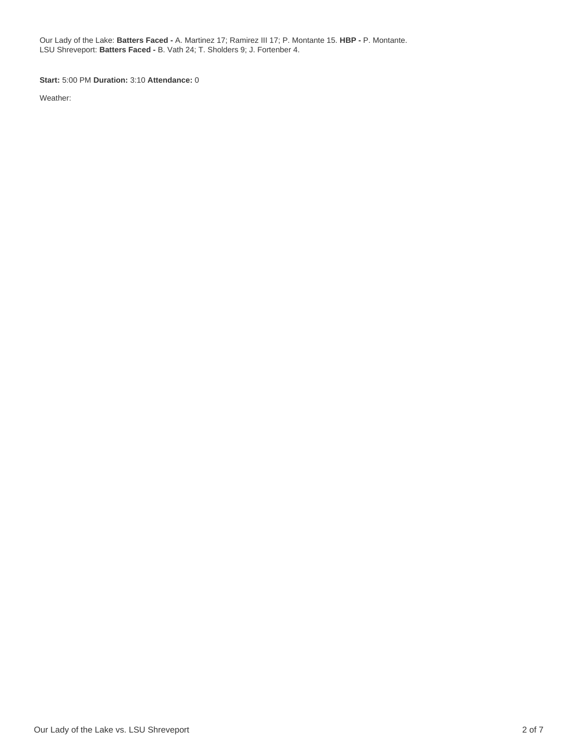Our Lady of the Lake: **Batters Faced -** A. Martinez 17; Ramirez III 17; P. Montante 15. **HBP -** P. Montante. LSU Shreveport: **Batters Faced -** B. Vath 24; T. Sholders 9; J. Fortenber 4.

**Start:** 5:00 PM **Duration:** 3:10 **Attendance:** 0

Weather: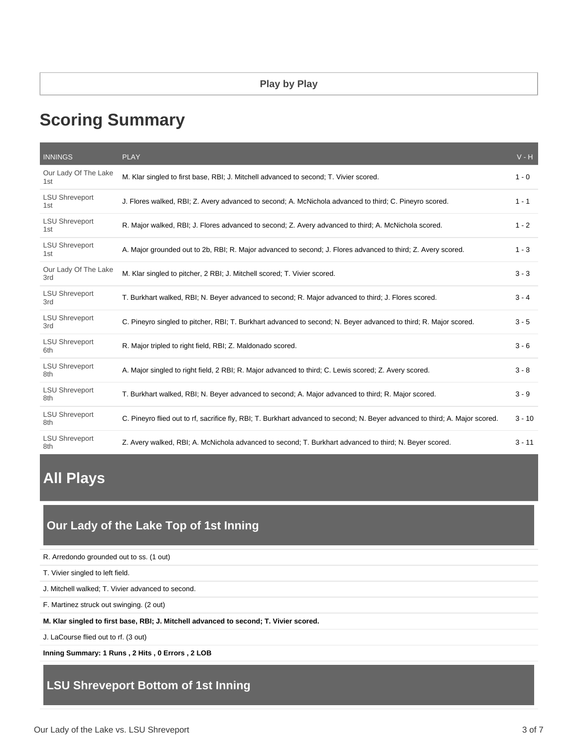# **Scoring Summary**

| <b>INNINGS</b>               | <b>PLAY</b>                                                                                                                  | $V - H$  |
|------------------------------|------------------------------------------------------------------------------------------------------------------------------|----------|
| Our Lady Of The Lake<br>1st  | M. Klar singled to first base, RBI; J. Mitchell advanced to second; T. Vivier scored.                                        | $1 - 0$  |
| <b>LSU Shreveport</b><br>1st | J. Flores walked, RBI; Z. Avery advanced to second; A. McNichola advanced to third; C. Pineyro scored.                       | $1 - 1$  |
| <b>LSU Shreveport</b><br>1st | R. Major walked, RBI; J. Flores advanced to second; Z. Avery advanced to third; A. McNichola scored.                         | $1 - 2$  |
| <b>LSU Shreveport</b><br>1st | A. Major grounded out to 2b, RBI; R. Major advanced to second; J. Flores advanced to third; Z. Avery scored.                 | $1 - 3$  |
| Our Lady Of The Lake<br>3rd  | M. Klar singled to pitcher, 2 RBI; J. Mitchell scored; T. Vivier scored.                                                     | $3 - 3$  |
| <b>LSU Shreveport</b><br>3rd | T. Burkhart walked, RBI; N. Beyer advanced to second; R. Major advanced to third; J. Flores scored.                          | $3 - 4$  |
| <b>LSU Shreveport</b><br>3rd | C. Pineyro singled to pitcher, RBI; T. Burkhart advanced to second; N. Beyer advanced to third; R. Major scored.             | $3 - 5$  |
| <b>LSU Shreveport</b><br>6th | R. Major tripled to right field, RBI; Z. Maldonado scored.                                                                   | $3 - 6$  |
| <b>LSU Shreveport</b><br>8th | A. Major singled to right field, 2 RBI; R. Major advanced to third; C. Lewis scored; Z. Avery scored.                        | $3 - 8$  |
| <b>LSU Shreveport</b><br>8th | T. Burkhart walked, RBI; N. Beyer advanced to second; A. Major advanced to third; R. Major scored.                           | $3 - 9$  |
| <b>LSU Shreveport</b><br>8th | C. Pineyro flied out to rf, sacrifice fly, RBI; T. Burkhart advanced to second; N. Beyer advanced to third; A. Major scored. | $3 - 10$ |
| <b>LSU Shreveport</b><br>8th | Z. Avery walked, RBI; A. McNichola advanced to second; T. Burkhart advanced to third; N. Beyer scored.                       | $3 - 11$ |

# **All Plays**

## **Our Lady of the Lake Top of 1st Inning**

R. Arredondo grounded out to ss. (1 out)

T. Vivier singled to left field.

J. Mitchell walked; T. Vivier advanced to second.

F. Martinez struck out swinging. (2 out)

**M. Klar singled to first base, RBI; J. Mitchell advanced to second; T. Vivier scored.**

J. LaCourse flied out to rf. (3 out)

**Inning Summary: 1 Runs , 2 Hits , 0 Errors , 2 LOB**

## **LSU Shreveport Bottom of 1st Inning**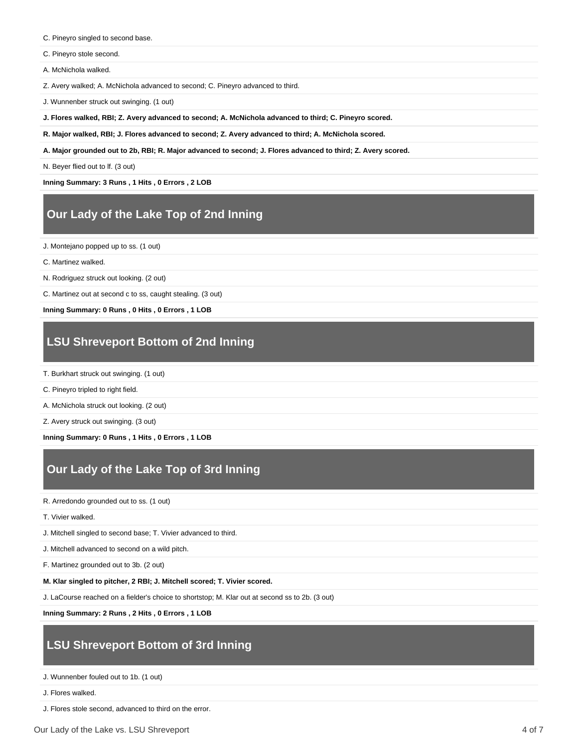C. Pineyro singled to second base.

C. Pineyro stole second.

A. McNichola walked.

Z. Avery walked; A. McNichola advanced to second; C. Pineyro advanced to third.

J. Wunnenber struck out swinging. (1 out)

**J. Flores walked, RBI; Z. Avery advanced to second; A. McNichola advanced to third; C. Pineyro scored.**

**R. Major walked, RBI; J. Flores advanced to second; Z. Avery advanced to third; A. McNichola scored.**

**A. Major grounded out to 2b, RBI; R. Major advanced to second; J. Flores advanced to third; Z. Avery scored.**

N. Beyer flied out to lf. (3 out)

**Inning Summary: 3 Runs , 1 Hits , 0 Errors , 2 LOB**

## **Our Lady of the Lake Top of 2nd Inning**

J. Montejano popped up to ss. (1 out)

C. Martinez walked.

N. Rodriguez struck out looking. (2 out)

C. Martinez out at second c to ss, caught stealing. (3 out)

**Inning Summary: 0 Runs , 0 Hits , 0 Errors , 1 LOB**

## **LSU Shreveport Bottom of 2nd Inning**

- T. Burkhart struck out swinging. (1 out)
- C. Pineyro tripled to right field.

A. McNichola struck out looking. (2 out)

Z. Avery struck out swinging. (3 out)

**Inning Summary: 0 Runs , 1 Hits , 0 Errors , 1 LOB**

## **Our Lady of the Lake Top of 3rd Inning**

R. Arredondo grounded out to ss. (1 out)

T. Vivier walked.

J. Mitchell singled to second base; T. Vivier advanced to third.

J. Mitchell advanced to second on a wild pitch.

F. Martinez grounded out to 3b. (2 out)

**M. Klar singled to pitcher, 2 RBI; J. Mitchell scored; T. Vivier scored.**

J. LaCourse reached on a fielder's choice to shortstop; M. Klar out at second ss to 2b. (3 out)

**Inning Summary: 2 Runs , 2 Hits , 0 Errors , 1 LOB**

## **LSU Shreveport Bottom of 3rd Inning**

J. Wunnenber fouled out to 1b. (1 out)

J. Flores walked.

J. Flores stole second, advanced to third on the error.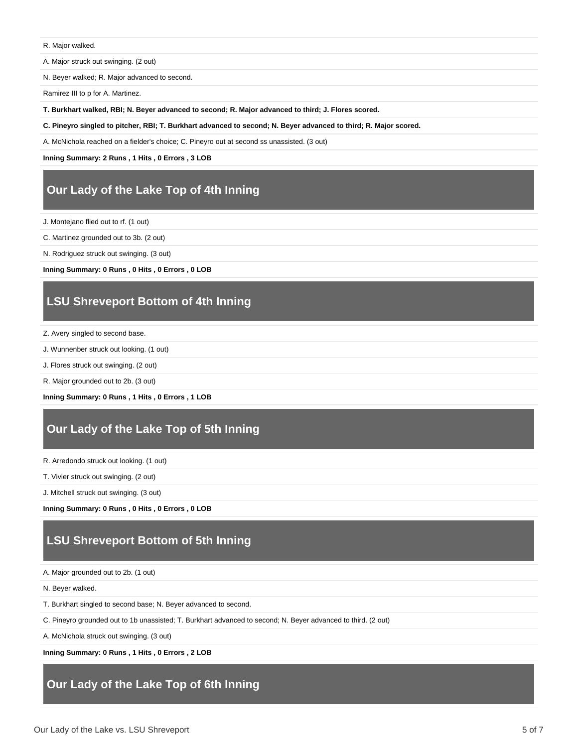R. Major walked.

A. Major struck out swinging. (2 out)

N. Beyer walked; R. Major advanced to second.

Ramirez III to p for A. Martinez.

**T. Burkhart walked, RBI; N. Beyer advanced to second; R. Major advanced to third; J. Flores scored.**

**C. Pineyro singled to pitcher, RBI; T. Burkhart advanced to second; N. Beyer advanced to third; R. Major scored.**

A. McNichola reached on a fielder's choice; C. Pineyro out at second ss unassisted. (3 out)

**Inning Summary: 2 Runs , 1 Hits , 0 Errors , 3 LOB**

### **Our Lady of the Lake Top of 4th Inning**

J. Montejano flied out to rf. (1 out)

C. Martinez grounded out to 3b. (2 out)

N. Rodriguez struck out swinging. (3 out)

**Inning Summary: 0 Runs , 0 Hits , 0 Errors , 0 LOB**

### **LSU Shreveport Bottom of 4th Inning**

Z. Avery singled to second base.

J. Wunnenber struck out looking. (1 out)

J. Flores struck out swinging. (2 out)

R. Major grounded out to 2b. (3 out)

**Inning Summary: 0 Runs , 1 Hits , 0 Errors , 1 LOB**

### **Our Lady of the Lake Top of 5th Inning**

R. Arredondo struck out looking. (1 out)

T. Vivier struck out swinging. (2 out)

J. Mitchell struck out swinging. (3 out)

**Inning Summary: 0 Runs , 0 Hits , 0 Errors , 0 LOB**

## **LSU Shreveport Bottom of 5th Inning**

A. Major grounded out to 2b. (1 out)

N. Beyer walked.

T. Burkhart singled to second base; N. Beyer advanced to second.

C. Pineyro grounded out to 1b unassisted; T. Burkhart advanced to second; N. Beyer advanced to third. (2 out)

A. McNichola struck out swinging. (3 out)

**Inning Summary: 0 Runs , 1 Hits , 0 Errors , 2 LOB**

## **Our Lady of the Lake Top of 6th Inning**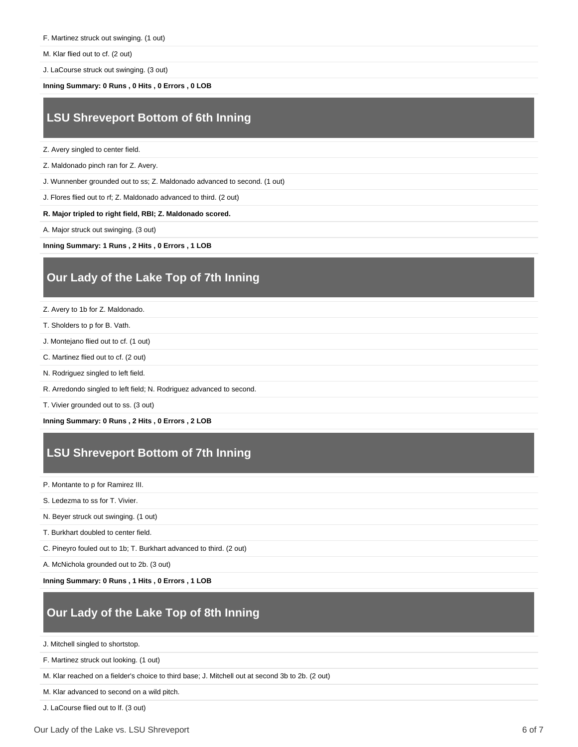F. Martinez struck out swinging. (1 out)

M. Klar flied out to cf. (2 out)

J. LaCourse struck out swinging. (3 out)

**Inning Summary: 0 Runs , 0 Hits , 0 Errors , 0 LOB**

## **LSU Shreveport Bottom of 6th Inning**

Z. Avery singled to center field.

Z. Maldonado pinch ran for Z. Avery.

J. Wunnenber grounded out to ss; Z. Maldonado advanced to second. (1 out)

J. Flores flied out to rf; Z. Maldonado advanced to third. (2 out)

**R. Major tripled to right field, RBI; Z. Maldonado scored.**

A. Major struck out swinging. (3 out)

**Inning Summary: 1 Runs , 2 Hits , 0 Errors , 1 LOB**

## **Our Lady of the Lake Top of 7th Inning**

Z. Avery to 1b for Z. Maldonado.

- T. Sholders to p for B. Vath.
- J. Montejano flied out to cf. (1 out)
- C. Martinez flied out to cf. (2 out)
- N. Rodriguez singled to left field.
- R. Arredondo singled to left field; N. Rodriguez advanced to second.

T. Vivier grounded out to ss. (3 out)

**Inning Summary: 0 Runs , 2 Hits , 0 Errors , 2 LOB**

# **LSU Shreveport Bottom of 7th Inning**

P. Montante to p for Ramirez III.

S. Ledezma to ss for T. Vivier.

N. Beyer struck out swinging. (1 out)

T. Burkhart doubled to center field.

C. Pineyro fouled out to 1b; T. Burkhart advanced to third. (2 out)

A. McNichola grounded out to 2b. (3 out)

**Inning Summary: 0 Runs , 1 Hits , 0 Errors , 1 LOB**

## **Our Lady of the Lake Top of 8th Inning**

J. Mitchell singled to shortstop.

F. Martinez struck out looking. (1 out)

M. Klar reached on a fielder's choice to third base; J. Mitchell out at second 3b to 2b. (2 out)

M. Klar advanced to second on a wild pitch.

J. LaCourse flied out to lf. (3 out)